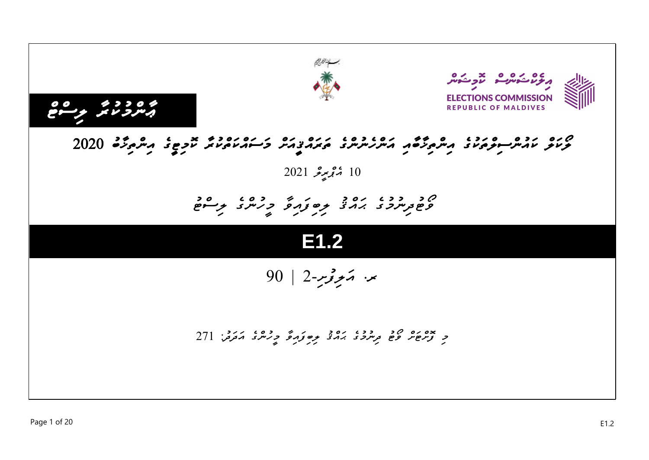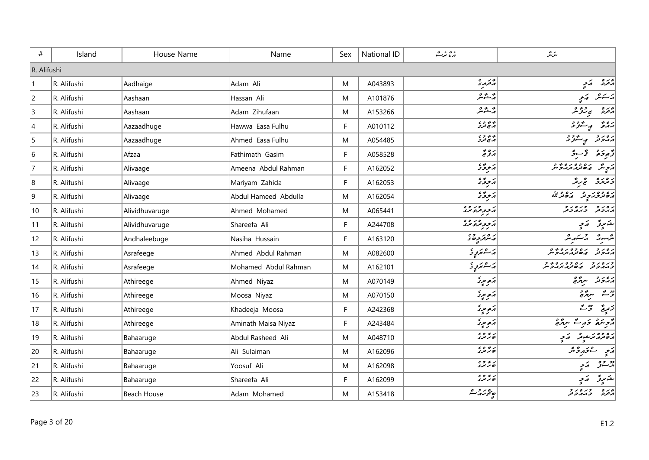| #               | Island      | House Name         | Name                 | Sex | National ID | ، ه ، ره<br>مره برگ                    | يترمثر                                                                                                                                                                                                                           |
|-----------------|-------------|--------------------|----------------------|-----|-------------|----------------------------------------|----------------------------------------------------------------------------------------------------------------------------------------------------------------------------------------------------------------------------------|
| R. Alifushi     |             |                    |                      |     |             |                                        |                                                                                                                                                                                                                                  |
|                 | R. Alifushi | Aadhaige           | Adam Ali             | M   | A043893     | پژمری                                  | أرمزو أربح                                                                                                                                                                                                                       |
| $\overline{2}$  | R. Alifushi | Aashaan            | Hassan Ali           | M   | A101876     | پر مئر مر<br>مرشتر سر                  |                                                                                                                                                                                                                                  |
| 3               | R. Alifushi | Aashaan            | Adam Zihufaan        | M   | A153266     | ر<br>مرڪسمبر                           | وره پروژه                                                                                                                                                                                                                        |
| $\vert 4$       | R. Alifushi | Aazaadhuge         | Hawwa Easa Fulhu     | F   | A010112     | ا پر بر و بر<br>اور پنج تعری           | ره په سورو<br>  پروگو په سورو                                                                                                                                                                                                    |
| 5               | R. Alifushi | Aazaadhuge         | Ahmed Easa Fulhu     | M   | A054485     | ږ د د د<br>د پخ تر پ                   | ره رو په دوو<br>مدونر په دور                                                                                                                                                                                                     |
| $6\overline{6}$ | R. Alifushi | Afzaa              | Fathimath Gasim      | F   | A058528     | لروبح                                  | وَجودَ قَوْسِرْدُ                                                                                                                                                                                                                |
| 7               | R. Alifushi | Alivaage           | Ameena Abdul Rahman  | F   | A162052     | پروژه                                  | 72010701 271                                                                                                                                                                                                                     |
| 8               | R. Alifushi | Alivaage           | Mariyam Zahida       | F   | A162053     | پروژه                                  | رەرە ئېرىگە                                                                                                                                                                                                                      |
| 9               | R. Alifushi | Alivaage           | Abdul Hameed Abdulla | M   | A162054     | ر<br>د وو د                            | رە دەبروتر مەھىراللە                                                                                                                                                                                                             |
| 10              | R. Alifushi | Alividhuvaruge     | Ahmed Mohamed        | M   | A065441     | اړو وروه <del>ده</del><br>سرر          | ג סגב בגסגב<br>הגבע בגהבע                                                                                                                                                                                                        |
| 11              | R. Alifushi | Alividhuvaruge     | Shareefa Ali         | F   | A244708     | ړ ده ور د ،<br>د نرمه نرو              | خنيرتى الكامي                                                                                                                                                                                                                    |
| 12              | R. Alifushi | Andhaleebuge       | Nasiha Hussain       | F   | A163120     | ر عر تر د د ؟<br>ما شر تر تر ه د       | شب شركت بالمستهر مثل                                                                                                                                                                                                             |
| 13              | R. Alifushi | Asrafeege          | Ahmed Abdul Rahman   | M   | A082600     | ىز س <sup>9</sup> ىئرى <sub>ۋ</sub> ئ  | ره ر د ده ده د ه ده و ه<br>م.پروتر م. م. د. برپروتر                                                                                                                                                                              |
| 14              | R. Alifushi | Asrafeege          | Mohamed Abdul Rahman | M   | A162101     | ئەس <sup>ىم</sup> ئىرىپ <sup>ى</sup>   | ر ٥ ٥ ٥ ٥ ٥ ٥ ٠<br>۵ ۵ تو۵ بوبر <del>و</del> س<br>و ر ه ر د<br>تر پر ژ تر                                                                                                                                                        |
| 15              | R. Alifushi | Athireege          | Ahmed Niyaz          | M   | A070149     | ر<br>مرموسری                           | נים ניבי היות בים.<br>הגבות התוקשים                                                                                                                                                                                              |
| 16              | R. Alifushi | Athireege          | Moosa Niyaz          | M   | A070150     | ر<br>د حومور                           | اتر شهر میں مرکز کے مقدم میں تھے اور ان کے مقدم کے مقدم کے مقدم کے مقدم کے مقدم کے مقدم کے مقدم کے مقدم کے مقد<br>مقدم کی مقدم کے مقدم کے مقدم کے مقدم کے مقدم کے مقدم کے مقدم کے مقدم کے مقدم کے مقدم کے مقدم کے مقدم کے مقدم ک |
| 17              | R. Alifushi | Athireege          | Khadeeja Moosa       | F   | A242368     | ر<br>د حومور                           | زَمِرِةٌ حُمْ ثُمَّ                                                                                                                                                                                                              |
| 18              | R. Alifushi | Athireege          | Aminath Maisa Niyaz  | F   | A243484     | ر<br>د حومورځ                          | أأوسكم وأرث سرائع                                                                                                                                                                                                                |
| 19              | R. Alifushi | Bahaaruge          | Abdul Rasheed Ali    | M   | A048710     | ر پر د ،<br>ن <i>ن تر</i> بوي          | ره وه د شوتر گرم                                                                                                                                                                                                                 |
| 20              | R. Alifushi | Bahaaruge          | Ali Sulaiman         | M   | A162096     | ر پر و ،<br>ن <i>خ</i> تر <sub>ک</sub> | أرسم ستخدر ومحمد                                                                                                                                                                                                                 |
| 21              | R. Alifushi | Bahaaruge          | Yoosuf Ali           | M   | A162098     | ر بر و ،<br>ن <i>ه ر</i> گری           | دو حره<br>مرگ<br>ەتىر                                                                                                                                                                                                            |
| 22              | R. Alifushi | Bahaaruge          | Shareefa Ali         | F.  | A162099     | ر پر د ،<br>ن <i>ه ر</i> بر د          | شَهَرِزٌ - رَمِ                                                                                                                                                                                                                  |
| 23              | R. Alifushi | <b>Beach House</b> | Adam Mohamed         | M   | A153418     | $\frac{1}{2}$                          | برره در در د<br>مرکز د برمارد                                                                                                                                                                                                    |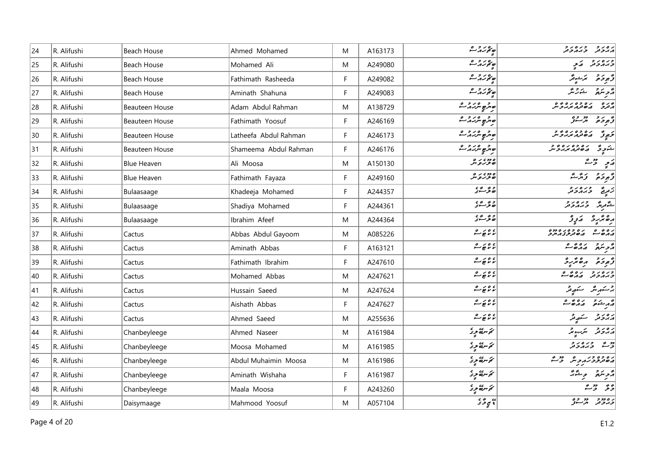| 24 | R. Alifushi | <b>Beach House</b>    | Ahmed Mohamed         | M           | A163173 | ە ئۇ ئەرمىگە                    | ورەر د<br><i>دى</i> رمەتر<br>بر 2 د تر<br>م <i>ر</i> بر <del>د</del> تر                                                                                       |
|----|-------------|-----------------------|-----------------------|-------------|---------|---------------------------------|---------------------------------------------------------------------------------------------------------------------------------------------------------------|
| 25 | R. Alifushi | <b>Beach House</b>    | Mohamed Ali           | M           | A249080 | ە ئۇ ئەرمىگە                    | دره رو پر کر                                                                                                                                                  |
| 26 | R. Alifushi | <b>Beach House</b>    | Fathimath Rasheeda    | F           | A249082 | ە <i>ئادىر مى</i> ر             | أزُّمُوحَامُ الْمَسْبِعْدُ                                                                                                                                    |
| 27 | R. Alifushi | <b>Beach House</b>    | Aminath Shahuna       | F           | A249083 | ە ئەجرىر مەر                    | أرمره<br>ىشە <i>ر ئى</i> گر                                                                                                                                   |
| 28 | R. Alifushi | <b>Beauteen House</b> | Adam Abdul Rahman     | M           | A138729 | ە مەھ بىر <i>بەر 2</i>          | پره ره ده ده په و.<br>منرچ مان ترمر ترمر                                                                                                                      |
| 29 | R. Alifushi | <b>Beauteen House</b> | Fathimath Yoosuf      | $\mathsf F$ | A246169 |                                 | أو بر د دو ده                                                                                                                                                 |
| 30 | R. Alifushi | <b>Beauteen House</b> | Latheefa Abdul Rahman | $\mathsf F$ | A246173 | ە مەھ بىر <i>كەن</i> گە         | تزېږ ده ده ده د د                                                                                                                                             |
| 31 | R. Alifushi | <b>Beauteen House</b> | Shameema Abdul Rahman | F           | A246176 | <br>  ص رحم مركز المراجع        | ر ه وه ر ه د و<br>پره تربر تر تر تر<br>شکو و گر                                                                                                               |
| 32 | R. Alifushi | <b>Blue Heaven</b>    | Ali Moosa             | M           | A150130 | ه دوی ر ه<br><i>ه مور</i> ه مگر | ړې د په                                                                                                                                                       |
| 33 | R. Alifushi | <b>Blue Heaven</b>    | Fathimath Fayaza      | $\mathsf F$ | A249160 | ه دوی ر ه<br><i>ه محر ر ه</i> ر | وتموضى وتراث                                                                                                                                                  |
| 34 | R. Alifushi | Bulaasaage            | Khadeeja Mohamed      | F           | A244357 | ە ئۆشىي                         | کر تعریج<br> <br>مربع<br>و ره ر د<br><i>د ب</i> رگرفر                                                                                                         |
| 35 | R. Alifushi | Bulaasaage            | Shadiya Mohamed       | F           | A244361 | ە ئۇشۇ ئ                        | ڪ <sup>و</sup> نز ۾<br>ورەر د<br><i>دى</i> رگەر                                                                                                               |
| 36 | R. Alifushi | Bulaasaage            | Ibrahim Afeef         | M           | A244364 | ە ئۇشۇ ئ                        | ג <i>ּ</i> פּֿ <i>ג'רַ</i> ג <sup>ָ</sup> נֶ                                                                                                                  |
| 37 | R. Alifushi | Cactus                | Abbas Abdul Gayoom    | M           | A085226 | <i>، ۽ ۽ ڪ</i>                  | 020102010 02010                                                                                                                                               |
| 38 | R. Alifushi | Cactus                | Aminath Abbas         | F           | A163121 | يزءٍ په                         | ה היה החשב                                                                                                                                                    |
| 39 | R. Alifushi | Cactus                | Fathimath Ibrahim     | F           | A247610 | تزء کا ج                        | و دو ره پر د                                                                                                                                                  |
| 40 | R. Alifushi | Cactus                | Mohamed Abbas         | M           | A247621 | 2.600                           | ورەرو رەپرە                                                                                                                                                   |
| 41 | R. Alifushi | Cactus                | Hussain Saeed         | M           | A247624 | <i>، ۽ ۽ ڪ</i>                  | يز سكهر شركته مسكر كما يكر                                                                                                                                    |
| 42 | R. Alifushi | Cactus                | Aishath Abbas         | F           | A247627 | تزءضه                           | $\overset{\circ}{\sim} \overset{\circ}{\circ} \overset{\circ}{\sim} \overset{\circ}{\sim} \overset{\circ}{\circ} \overset{\circ}{\sim} \overset{\circ}{\sim}$ |
| 43 | R. Alifushi | Cactus                | Ahmed Saeed           | M           | A255636 | 2.600                           | أرور والمستهدر                                                                                                                                                |
| 44 | R. Alifushi | Chanbeyleege          | Ahmed Naseer          | M           | A161984 | ىمەستەم تەر<br>ئ                | دەرو سەرچە                                                                                                                                                    |
| 45 | R. Alifushi | Chanbeyleege          | Moosa Mohamed         | M           | A161985 | ىمەستەم تەر<br>ئ                | ووقع وره د و                                                                                                                                                  |
| 46 | R. Alifushi | Chanbeyleege          | Abdul Muhaimin Moosa  | M           | A161986 | كوس تقوير                       |                                                                                                                                                               |
| 47 | R. Alifushi | Chanbeyleege          | Aminath Wishaha       | F           | A161987 | ى<br>كۆس <sub>تە ت</sub> ور     | أأدمره ويثبر                                                                                                                                                  |
| 48 | R. Alifushi | Chanbeyleege          | Maala Moosa           | F           | A243260 | كوسكة وء                        | وَوَ وَسَدُ                                                                                                                                                   |
| 49 | R. Alifushi | Daisymaage            | Mahmood Yoosuf        | M           | A057104 | ړ،<br>٤ مې تر د                 | ر ס כב כ ב כ ס<br>כ ג כ ב ת                                                                                                                                   |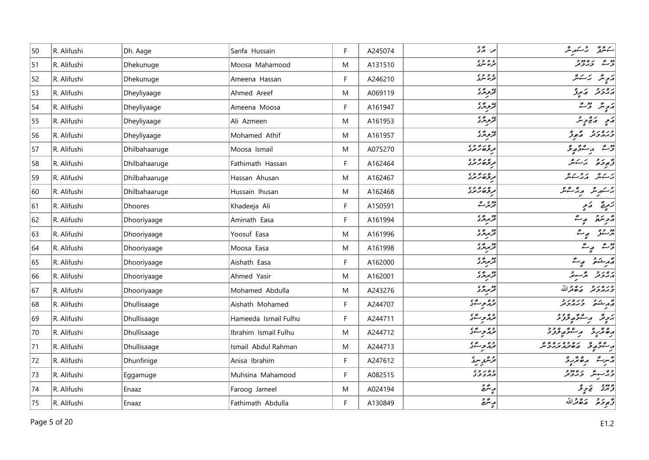| 50 | R. Alifushi | Dh. Aage       | Sanfa Hussain        | F         | A245074 | ور گری<br>لود گری                             | سەتلەر بر ئەسەتلە                             |
|----|-------------|----------------|----------------------|-----------|---------|-----------------------------------------------|-----------------------------------------------|
| 51 | R. Alifushi | Dhekunuge      | Moosa Mahamood       | ${\sf M}$ | A131510 | ړ <i>د د</i> ،<br>تر <i>نا</i> مر             | اور مصرور در در در بر<br>المرگ می کرد کرد کرد |
| 52 | R. Alifushi | Dhekunuge      | Ameena Hassan        | F         | A246210 | ړ <i>د د</i> ،<br>تر <i>ماس</i> ر             | أرَوِينَ أَرْسَائِلُ                          |
| 53 | R. Alifushi | Dheyliyaage    | Ahmed Areef          | M         | A069119 | شرح مر<br>  قرح مر                            | دەرد كەيدۇ                                    |
| 54 | R. Alifushi | Dheyliyaage    | Ameena Moosa         | F         | A161947 | قرمویزی<br>  قرمویزی                          | ړې پر دي.                                     |
| 55 | R. Alifushi | Dheyliyaage    | Ali Azmeen           | ${\sf M}$ | A161953 | شرح مر<br>  قرح مر                            | أمام مالم مالي المركز                         |
| 56 | R. Alifushi | Dheyliyaage    | Mohamed Athif        | ${\sf M}$ | A161957 | قر عربری<br>  قر عربری                        |                                               |
| 57 | R. Alifushi | Dhilbahaaruge  | Moosa Ismail         | ${\sf M}$ | A075270 | ه در ۶ و ۷<br>درمر <i>ه ر</i> بر <sub>ک</sub> | ارد م سرخ پر و                                |
| 58 | R. Alifushi | Dhilbahaaruge  | Fathimath Hassan     | F         | A162464 | ه در ۶ و ۷<br>درمر <i>ه ر</i> بر <sub>ک</sub> | أقرم وحرير وكالمستعار                         |
| 59 | R. Alifushi | Dhilbahaaruge  | Hassan Ahusan        | ${\sf M}$ | A162467 | و د بر و د<br>ترنژه ر بر د                    | يركسني المرتز كالكر                           |
| 60 | R. Alifushi | Dhilbahaaruge  | Hussain Ihusan       | M         | A162468 | و د بر و د<br>ترنژه ر بر د                    | برسكريش الرير مشرهن                           |
| 61 | R. Alifushi | <b>Dhoores</b> | Khadeeja Ali         | F         | A150591 | ود ۽ ه                                        | تزمرقے الاسی                                  |
| 62 | R. Alifushi | Dhooriyaage    | Aminath Easa         | F         | A161994 | دو پر پر<br>ترمربر <sub>ک</sub>               | أأدينهم أيات                                  |
| 63 | R. Alifushi | Dhooriyaage    | Yoosuf Easa          | ${\sf M}$ | A161996 | دد<br>ترمربری                                 | وريدو<br>العام<br>مراجع                       |
| 64 | R. Alifushi | Dhooriyaage    | Moosa Easa           | ${\sf M}$ | A161998 | دد<br>ترسر پر د                               | روم په                                        |
| 65 | R. Alifushi | Dhooriyaage    | Aishath Easa         | F         | A162000 | ود<br>  قرنبر پر د                            | أقرم شدة والمحمد                              |
| 66 | R. Alifushi | Dhooriyaage    | Ahmed Yasir          | ${\sf M}$ | A162001 | دد<br>ترمربری                                 | پره پر پژسوپژ                                 |
| 67 | R. Alifushi | Dhooriyaage    | Mohamed Abdulla      | M         | A243276 | دو پر پر<br>  تد مورتر <sub>ک</sub>           | وره رو ده دالله                               |
| 68 | R. Alifushi | Dhullisaage    | Aishath Mohamed      | F         | A244707 | قرۇ يورىچى                                    | و دره دره در در د                             |
| 69 | R. Alifushi | Dhullisaage    | Hameeda Ismail Fulhu | F         | A244711 | قرە ھوسىھى                                    | يجوش وسفوصوفر                                 |
| 70 | R. Alifushi | Dhullisaage    | Ibrahim Ismail Fulhu | M         | A244712 | قرە ھوسىمى                                    | رەنزىر بەسىۋە دور                             |
| 71 | R. Alifushi | Dhullisaage    | Ismail Abdul Rahman  | M         | A244713 | قرە ھوسىمى<br>                                | 04010101010101                                |
| 72 | R. Alifushi | Dhunfinige     | Anisa Ibrahim        | F         | A247612 | قريقربريح                                     | ا پژسر گے<br>—<br>ە ھەترىرى<br>رەھمەرىرى      |
| 73 | R. Alifushi | Eggamuge       | Muhsina Mahamood     | F         | A082515 | 59106                                         | ووسيس ومعوفر                                  |
| 74 | R. Alifushi | Enaaz          | Faroog Jameel        | ${\sf M}$ | A024194 | لريثيج                                        | وَمَرَدٌ يَجْرِ وَ                            |
| 75 | R. Alifushi | Enaaz          | Fathimath Abdulla    | F         | A130849 | ويثبج                                         | قرجوحته وكالحدالله                            |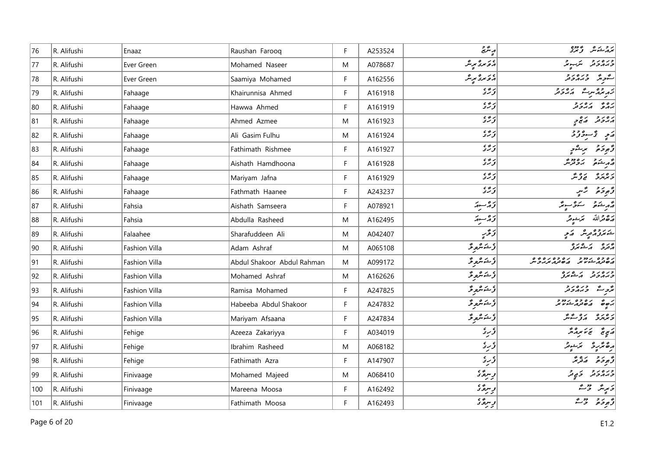| 76  | R. Alifushi | Enaaz                | Raushan Farooq             | F.          | A253524 | لېرىتىنى                     | ىر دىكە ئۇچرە                                                                                         |
|-----|-------------|----------------------|----------------------------|-------------|---------|------------------------------|-------------------------------------------------------------------------------------------------------|
| 77  | R. Alifushi | Ever Green           | Mohamed Naseer             | M           | A078687 | پر پر و بر پر                | ورەرو شبەر                                                                                            |
| 78  | R. Alifushi | Ever Green           | Saamiya Mohamed            | F           | A162556 | <i>، د پره پرې</i> گر        | مقرح وره دو                                                                                           |
| 79  | R. Alifushi | Fahaage              | Khairunnisa Ahmed          | F           | A161918 | د د ،<br>ورد                 | ترمه محمد سرح مدرج مدح مد                                                                             |
| 80  | R. Alifushi | Fahaage              | Hawwa Ahmed                | F           | A161919 | ۇرمى                         | ره ده رورد                                                                                            |
| 81  | R. Alifushi | Fahaage              | Ahmed Azmee                | M           | A161923 | ر و ،<br>توگری               | גפיג גם                                                                                               |
| 82  | R. Alifushi | Fahaage              | Ali Gasim Fulhu            | M           | A161924 | ر بر د<br>تر گر              | ە ئۇسىۋىرى<br>مۇ                                                                                      |
| 83  | R. Alifushi | Fahaage              | Fathimath Rishmee          | F           | A161927 | ۇرگى                         | و و ده برگور                                                                                          |
| 84  | R. Alifushi | Fahaage              | Aishath Hamdhoona          | F.          | A161928 | ۇرمى                         | و در دوره<br>مرد شوه در درس                                                                           |
| 85  | R. Alifushi | Fahaage              | Mariyam Jafna              | $\mathsf F$ | A161929 | ر بر ،<br>تر ر ،             | و مره ده پر                                                                                           |
| 86  | R. Alifushi | Fahaage              | Fathmath Haanee            | F           | A243237 | ۇرمى                         | وٌوِدَهُ رَّسٍ                                                                                        |
| 87  | R. Alifushi | Fahsia               | Aishath Samseera           | F           | A078921 | زهر سبزر                     | ە<br>مەر شىمى سىر سىر                                                                                 |
| 88  | R. Alifushi | Fahsia               | Abdulla Rasheed            | Μ           | A162495 | ره ه<br>د هر سودگر           | برة قرالله بم بنيوتر                                                                                  |
| 89  | R. Alifushi | Falaahee             | Sharafuddeen Ali           | M           | A042407 | ترتژب                        | شەنزۇقىرىش كەمچ                                                                                       |
| 90  | R. Alifushi | <b>Fashion Villa</b> | Adam Ashraf                | M           | A065108 | <br> ۇخەشموقە                | وره کمشوره                                                                                            |
| 91  | R. Alifushi | <b>Fashion Villa</b> | Abdul Shakoor Abdul Rahman | M           | A099172 | <br> زىنەمى <sub>مو</sub> گە | ג ס כ ס ג ב ב כ ג ג ס כ ס ג ס ג ס ס ב ס ג ס ב יית.<br>ה ש ב ער ת יי ב יי ג ע ד ה ש ב ע ה א ב א ב יית. |
| 92  | R. Alifushi | Fashion Villa        | Mohamed Ashraf             | M           | A162626 | ۇ ئەممىموقە                  | ورەرو كەشىرو                                                                                          |
| 93  | R. Alifushi | Fashion Villa        | Ramisa Mohamed             | F           | A247825 | ۇشەمىھوقە                    | تروث ورەرو                                                                                            |
| 94  | R. Alifushi | <b>Fashion Villa</b> | Habeeba Abdul Shakoor      | F           | A247832 | ئۇينىش <sub>ى</sub> رىگە     | ג פים הסינת ביניות בין                                                                                |
| 95  | R. Alifushi | Fashion Villa        | Mariyam Afsaana            | F.          | A247834 | <mark>ۇ خەش</mark> رەقە      | رەرە رەشتر                                                                                            |
| 96  | R. Alifushi | Fehige               | Azeeza Zakariyya           | F           | A034019 | ې ر <sub>ې</sub><br>تر گر    | בִאֲיָם בּא בְאתוּ                                                                                    |
| 97  | R. Alifushi | Fehige               | Ibrahim Rasheed            | M           | A068182 | ې<br>توريخ                   | أرەنۇر ئىسىم                                                                                          |
| 98  | R. Alifushi | Fehige               | Fathimath Azra             | F           | A147907 | ې دې<br>توري                 | و ده ده و                                                                                             |
| 99  | R. Alifushi | Finivaage            | Mohamed Majeed             | M           | A068410 | و سرچء<br>تر                 | ورەرو كەيدۇ                                                                                           |
| 100 | R. Alifushi | Finivaage            | Mareena Moosa              | F           | A162492 | وسرة و                       | كالمحامر معرضة المحاسبة                                                                               |
| 101 | R. Alifushi | Finivaage            | Fathimath Moosa            | F           | A162493 | وسرة و                       | تو برد در م                                                                                           |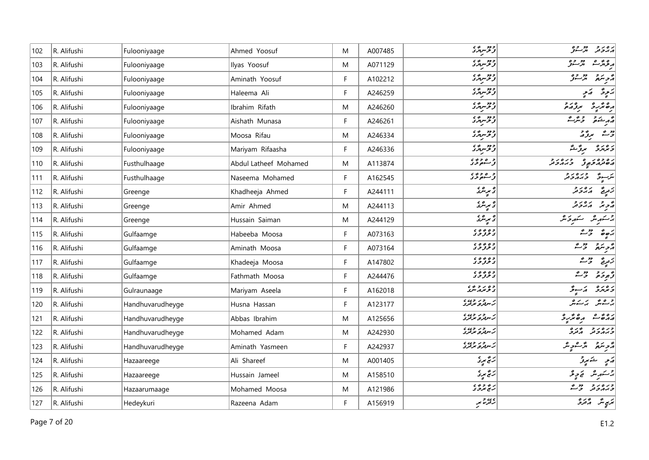| 102 | R. Alifushi | Fulooniyaage     | Ahmed Yoosuf          | M           | A007485 | د دو .<br>تر تر سرد .                           | גם ג' מי כם<br>ג'ג' כנק ה                               |
|-----|-------------|------------------|-----------------------|-------------|---------|-------------------------------------------------|---------------------------------------------------------|
| 103 | R. Alifushi | Fulooniyaage     | Ilyas Yoosuf          | M           | A071129 |                                                 | مەمۇرىئە<br>دد په دو                                    |
| 104 | R. Alifushi | Fulooniyaage     | Aminath Yoosuf        | $\mathsf F$ | A102212 | و دو سرچ <sup>ج</sup>                           | أثر حريحهم<br>دد وه<br>در سور                           |
| 105 | R. Alifushi | Fulooniyaage     | Haleema Ali           | F           | A246259 | و دو بر پر پر<br>تر تر سر پر <sub>ک</sub>       | يَجِعَ الْمَجِ                                          |
| 106 | R. Alifushi | Fulooniyaage     | Ibrahim Rifath        | M           | A246260 |                                                 | دەندە<br>بر و در د<br>برنو <i>م</i> رم                  |
| 107 | R. Alifushi | Fulooniyaage     | Aishath Munasa        | $\mathsf F$ | A246261 | د دو .<br>تر تر سرد .                           | ۇرىئىم ۋىرگ                                             |
| 108 | R. Alifushi | Fulooniyaage     | Moosa Rifau           | M           | A246334 | د دو په په<br>نوموسرد ک                         | وقت بروًم                                               |
| 109 | R. Alifushi | Fulooniyaage     | Mariyam Rifaasha      | $\mathsf F$ | A246336 | ۇ ئۇسرىرى                                       | ر ه ر ه<br>تر بر بر<br>ىرىرگە                           |
| 110 | R. Alifushi | Fusthulhaage     | Abdul Latheef Mohamed | M           | A113874 | د د د د د ،<br>توسع د د                         | ره وه و د و<br>مانه مرمر څېړنې<br>و ره ر و<br>تر پر ژفر |
| 111 | R. Alifushi | Fusthulhaage     | Naseema Mohamed       | F           | A162545 | د ۱۵ د د د<br>تر سومونۍ                         | و ره ر و<br><i>و پر</i> و تر<br>ىئرسىدۇ                 |
| 112 | R. Alifushi | Greenge          | Khadheeja Ahmed       | F           | A244111 | ه مړينو <sup>ه</sup>                            | <br>  تر توريخ<br> <br>برور و                           |
| 113 | R. Alifushi | Greenge          | Amir Ahmed            | M           | A244113 | ه مړسمه<br>د په سر                              | <i>ב בי ה</i> מכת                                       |
| 114 | R. Alifushi | Greenge          | Hussain Saiman        | M           | A244129 | ه مړينو <sup>ه</sup>                            | برسكريش اسكروكش                                         |
| 115 | R. Alifushi | Gulfaamge        | Habeeba Moosa         | $\mathsf F$ | A073163 | د ه و ه ه ،<br>د <del>و</del> تو <del>و</del> د | $27 - 200$                                              |
| 116 | R. Alifushi | Gulfaamge        | Aminath Moosa         | F           | A073164 | د ه و ه ه ،<br>د نروگر                          | أأرمز والمستعمر                                         |
| 117 | R. Alifushi | Gulfaamge        | Khadeeja Moosa        | F           | A147802 | وه پوه ،<br>د تروگر د                           | ترىرى <sup>چ</sup><br>ئىقتى<br>دومثر                    |
| 118 | R. Alifushi | Gulfaamge        | Fathmath Moosa        | F           | A244476 | و ه و ه ه ،<br>د <del>و</del> تو و د            | ء مر د<br>ترجوحرم<br>دومع                               |
| 119 | R. Alifushi | Gulraunaage      | Mariyam Aseela        | F           | A162018 | و ه ر و پر ،<br>د <del>ن</del> ر <i>پر پر</i>   | رەرە كەسىۋ                                              |
| 120 | R. Alifushi | Handhuvarudheyge | Husna Hassan          | F           | A123177 |                                                 | ج <sub>ە</sub> مەشر                                     |
| 121 | R. Alifushi | Handhuvarudheyge | Abbas Ibrahim         | M           | A125656 | ر سرور ورد<br>ر سرفر <i>و بر</i> فرد            | رەپچە<br>ە ھەترىر ۋ                                     |
| 122 | R. Alifushi | Handhuvarudheyge | Mohamed Adam          | M           | A242930 | ر<br>رکسوبرو مرتزی                              | و ر ه ر د<br>تر پر ژ تر<br>پور ہ<br>مرکز                |
| 123 | R. Alifushi | Handhuvarudheyge | Aminath Yasmeen       | F           | A242937 | ر سرچ ر وي ،<br>ر سرچر <i>ي پو</i> تري          | ېژىشو بىر<br>ومحر سرة                                   |
| 124 | R. Alifushi | Hazaareege       | Ali Shareef           | M           | A001405 | ر پر<br>سر پچ میر بر                            | ړې خېږ                                                  |
| 125 | R. Alifushi | Hazaareege       | Hussain Jameel        | M           | A158510 | ىر پۇ بىر ئە<br>سىسىم بىرى                      | جاسكمر شاكم ويحر                                        |
| 126 | R. Alifushi | Hazaarumaage     | Mohamed Moosa         | M           | A121986 | ر ۶ و ۶ ء<br>تر پنج بوری                        | و رە ر د<br><i>د بە</i> پەر<br>دو مح                    |
| 127 | R. Alifushi | Hedeykuri        | Razeena Adam          | F           | A156919 | ە پە ج<br> رىمرىم مېر                           | ىرىپ ئىر ئەزرە                                          |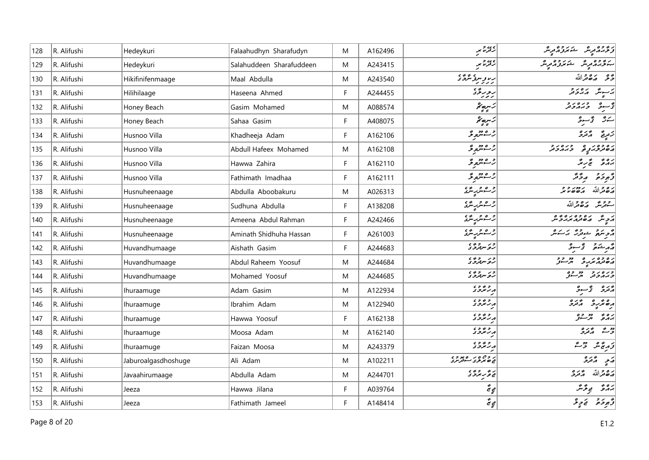| 128 | R. Alifushi | Hedeykuri           | Falaahudhyn Sharafudyn   | M           | A162496 | <br> رتورا سر                              | د وه و شهر د و و د مر د ا               |
|-----|-------------|---------------------|--------------------------|-------------|---------|--------------------------------------------|-----------------------------------------|
| 129 | R. Alifushi | Hedeykuri           | Salahuddeen Sharafuddeen | M           | A243415 | ی در حر<br>رقو <i>ما</i> سر                | بەلەر بەر ئەرزەر بەر                    |
| 130 | R. Alifushi | Hikifinifenmaage    | Maal Abdulla             | M           | A243540 | ار رو سرو عدد تاریخ<br>مسرو سرو شرقه د     | 3 - مَدَّمَّراللَّه                     |
| 131 | R. Alifushi | Hilihilaage         | Haseena Ahmed            | F           | A244455 | رورۇ،                                      | ائەسىپىگە ئەمەدىر<br>ئەسىپىگە ئەبەر قىر |
| 132 | R. Alifushi | Honey Beach         | Gasim Mohamed            | M           | A088574 | ئەس <i>رھەڭ</i><br>ئەس                     |                                         |
| 133 | R. Alifushi | Honey Beach         | Sahaa Gasim              | F           | A408075 | ر سرچ گا                                   | سَدَنَّ تَحْسَنُونَّ                    |
| 134 | R. Alifushi | Husnoo Villa        | Khadheeja Adam           | F           | A162106 | <sup>ح</sup> ەستى <sub>قى</sub> ئە         | زَمْرِجٌ " دُمَرْدُ                     |
| 135 | R. Alifushi | Husnoo Villa        | Abdull Hafeex Mohamed    | M           | A162108 | <sup>ح</sup> ەستى <sub>قو</sub> مۇ         | ره وه رو معروبر و<br>مان ورو بر وبرمان  |
| 136 | R. Alifushi | Husnoo Villa        | Hawwa Zahira             | F.          | A162110 | ر مىق مىقى<br>مەسىر مىق                    | برەغ ئې پر                              |
| 137 | R. Alifushi | Husnoo Villa        | Fathimath Imadhaa        | F           | A162111 | <sup>ح م</sup> ەمت <sub>ى</sub> بۇ         | وتموختم ويحتر                           |
| 138 | R. Alifushi | Husnuheenaage       | Abdulla Aboobakuru       | M           | A026313 | 2 مەيرى <i>يەتك</i>                        | برە تراللە<br>77/77/                    |
| 139 | R. Alifushi | Husnuheenaage       | Sudhuna Abdulla          | F           | A138208 | ر مەش <sub>رىپ</sub> ىدى<br>مەسرىپە        | حورش وكافرالله                          |
| 140 | R. Alifushi | Husnuheenaage       | Ameena Abdul Rahman      | $\mathsf F$ | A242466 | <u>ر موبر پېړۍ</u>                         | ر شهر ده وه دره ده                      |
| 141 | R. Alifushi | Husnuheenaage       | Aminath Shidhuha Hassan  | F           | A261003 | ر مشتر پر سر<br>مسلم                       | أأوسم عورته كالكمل                      |
| 142 | R. Alifushi | Huvandhumaage       | Aishath Gasim            | F           | A244683 | و ر<br>ره سربرو د                          | وكرم شكوته تخ سوفر                      |
| 143 | R. Alifushi | Huvandhumaage       | Abdul Raheem Yoosuf      | M           | A244684 | و ر په ده د<br>رو سربرو د                  | גם כם גם חדשות<br>הסנקו הגב"ח יינ       |
| 144 | R. Alifushi | Huvandhumaage       | Mohamed Yoosuf           | M           | A244685 | و ر په و ده و<br>ر و سربرو د               | כנים בי מי כם<br>כגולכות ותי-ת          |
| 145 | R. Alifushi | Ihuraamuge          | Adam Gasim               | M           | A122934 | د و د و ،<br>د ر ترو د                     | و دره و چې ده                           |
| 146 | R. Alifushi | Ihuraamuge          | Ibrahim Adam             | M           | A122940 | د د بو د ،<br>د رنگرد د                    | ەرھەترىر <sup>ى</sup><br>ر<br>ەردە      |
| 147 | R. Alifushi | Ihuraamuge          | Hawwa Yoosuf             | F           | A162138 | د د بو د ،<br>د ر برو د                    | رەپچ<br>برادى<br>دد به ده               |
| 148 | R. Alifushi | Ihuraamuge          | Moosa Adam               | M           | A162140 | د د بو د ،<br>د رنگرد د                    | دو به عره<br>وب پرترو                   |
| 149 | R. Alifushi | Ihuraamuge          | Faizan Moosa             | M           | A243379 | د رسمبر د بر<br>در سرگر د                  | ۇرىئ شەھ ئەس                            |
| 150 | R. Alifushi | Jaburoalgasdhoshuge | Ali Adam                 | M           | A102211 | ر و 0 ە ر _ە يو و ،<br>تع ن تر بور —دترىرى | أەسم أورد                               |
| 151 | R. Alifushi | Javaahirumaage      | Abdulla Adam             | M           | A244701 | ر پر پر پر پر<br>نے بر برتر <sub>ک</sub>   | ەھىراللە<br>پور ہ<br>مرکزو              |
| 152 | R. Alifushi | Jeeza               | Hawwa Jilana             | F           | A039764 | ي<br>ي                                     | برەۋ ب <sub>و</sub> ۇنتر                |
| 153 | R. Alifushi | Jeeza               | Fathimath Jameel         | F           | A148414 | ے<br>مح <sup>م</sup> ح                     | وَّجِعَةٍ وَجِعْ                        |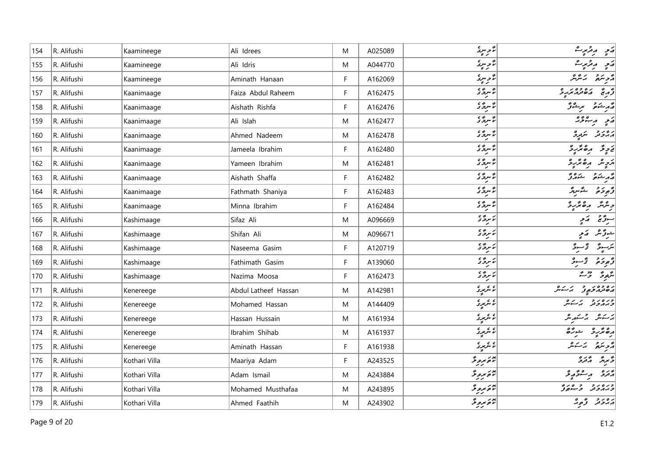| 154 | R. Alifushi | Kaamineege    | Ali Idrees           | M           | A025089 | ېږېږي<br>مريخ                   |                                                                                                 |
|-----|-------------|---------------|----------------------|-------------|---------|---------------------------------|-------------------------------------------------------------------------------------------------|
|     |             |               |                      |             |         |                                 | ړې پرترېږے<br>موس                                                                               |
| 155 | R. Alifushi | Kaamineege    | Ali Idris            | M           | A044770 | مڈحہ سرچ<br>م                   | ړې روزېږے<br>مړ                                                                                 |
| 156 | R. Alifushi | Kaamineege    | Aminath Hanaan       | $\mathsf F$ | A162069 | مۇجەسىدى<br>سىرىپ               | أرمره<br>برىتزىتر                                                                               |
| 157 | R. Alifushi | Kaanimaage    | Faiza Abdul Raheem   | F           | A162475 | اءً سرچ <sup>ء</sup> ِ          | توریخ<br>ره وه ر <sub>و</sub> ه<br>مصرم بربر                                                    |
| 158 | R. Alifushi | Kaanimaage    | Aishath Rishfa       | F           | A162476 | اءً <sub>مرجز</sub> ي           | د مرکز در در در این کشتی به تاریخ<br>مرکز در سنوی<br>ىرىشۇ ئە<br>—                              |
| 159 | R. Alifushi | Kaanimaage    | Ali Islah            | M           | A162477 | ءُ <sub>سرچء</sub> َ            | أقهم وسنوجه                                                                                     |
| 160 | R. Alifushi | Kaanimaage    | Ahmed Nadeem         | M           | A162478 | ځ سرچ <sup>ي</sup>              | رەر ئەتەرە<br>مەركى ئىرىرى                                                                      |
| 161 | R. Alifushi | Kaanimaage    | Jameela Ibrahim      | $\mathsf F$ | A162480 | پ <sup>ه</sup> سرچ <sup>ي</sup> | فأولج وهندرة                                                                                    |
| 162 | R. Alifushi | Kaanimaage    | Yameen Ibrahim       | M           | A162481 | ءُ سرچري<br>م                   | أترج مدارج والمحرج                                                                              |
| 163 | R. Alifushi | Kaanimaage    | Aishath Shaffa       | F.          | A162482 | ءُ سرچءَ<br>ما                  | وكرمشكم الشرور                                                                                  |
| 164 | R. Alifushi | Kaanimaage    | Fathmath Shaniya     | F           | A162483 | ءُ سرچ <sup>ء</sup> ِ           | ے <i>گوس</i> گر<br>وٌ جو حر ح                                                                   |
| 165 | R. Alifushi | Kaanimaage    | Minna Ibrahim        | F           | A162484 | ځ سرچ <sub>ک</sub>              | حرمثر<br>5,50,00                                                                                |
| 166 | R. Alifushi | Kashimaage    | Sifaz Ali            | M           | A096669 | ئەسرچە ئە                       | $\overline{\widetilde{\mathcal{E}}\widetilde{\mathcal{I}}_{\mathcal{S}}^{\mathcal{E}}}$<br>ەكىر |
| 167 | R. Alifushi | Kashimaage    | Shifan Ali           | M           | A096671 | ر<br>ما مرچ ي                   | لمسورٌ مَدَ أَرَضٍ                                                                              |
| 168 | R. Alifushi | Kashimaage    | Naseema Gasim        | F           | A120719 | ر<br>مأمرچۍ                     | مەرسەدىچە<br>تخريره                                                                             |
| 169 | R. Alifushi | Kashimaage    | Fathimath Gasim      | F           | A139060 | ر سرچ ئ                         | سچ سوچ<br>ر                                                                                     |
| 170 | R. Alifushi | Kashimaage    | Nazima Moosa         | F           | A162473 | ر رو ،<br>ما مرچ <sub>م</sub>   | شمۇق ق <sup>ىس</sup>                                                                            |
| 171 | R. Alifushi | Kenereege     | Abdul Latheef Hassan | M           | A142981 | ع مثر پر <sup>ج</sup>           | גם כסג כרי גבית                                                                                 |
| 172 | R. Alifushi | Kenereege     | Mohamed Hassan       | M           | A144409 | ې مه پېړۍ<br>په من              | ورەرو پەسكىر                                                                                    |
| 173 | R. Alifushi | Kenereege     | Hassan Hussain       | M           | A161934 | ع متر پر <sup>ج</sup>           | برسەش برسەملىر                                                                                  |
| 174 | R. Alifushi | Kenereege     | Ibrahim Shihab       | M           | A161937 | ع متر پر <sup>ج</sup>           | شورگر<br>مر<br>ەرھ ئ <sup>ۆ</sup> ر ۋ                                                           |
| 175 | R. Alifushi | Kenereege     | Aminath Hassan       | $\mathsf F$ | A161938 | ، عربر ؟<br>م                   | ۇ ئىستى ئەسكىر                                                                                  |
| 176 | R. Alifushi | Kothari Villa | Maariya Adam         | F           | A243525 | لاە بىرە م <sup>ۇ</sup>         | ومحبر<br>پر ہ<br>مرکز                                                                           |
| 177 | R. Alifushi | Kothari Villa | Adam Ismail          | M           | A243884 | ېدر<br>تامومرو څ                | پور ہ<br>دگرو<br>وسنتجمير                                                                       |
| 178 | R. Alifushi | Kothari Villa | Mohamed Musthafaa    | M           | A243895 | معتمر مرعر محر                  | د پەر پە<br>و ر ه ر د<br><i>و بر د</i> کر                                                       |
| 179 | R. Alifushi | Kothari Villa | Ahmed Faathih        | M           | A243902 | لېزم پره مخه<br>س <u>ربر</u>    | رەرد ۋەر                                                                                        |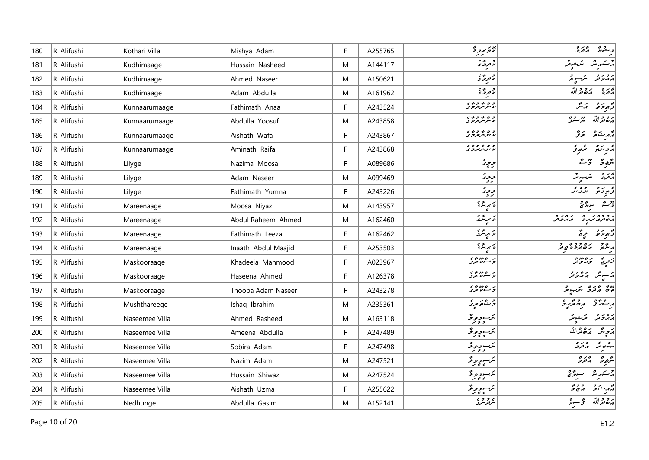| 180 | R. Alifushi | Kothari Villa  | Mishya Adam         | F           | A255765 | معتمر مرعر محر                     | <br> ویشویژ<br> -<br>پر ده<br>د ترو          |
|-----|-------------|----------------|---------------------|-------------|---------|------------------------------------|----------------------------------------------|
| 181 | R. Alifushi | Kudhimaage     | Hussain Nasheed     | M           | A144117 | د پورې<br>  ما مورځ ی              | 2 سەر بىر سىزىيەتى <sup>1</sup>              |
| 182 | R. Alifushi | Kudhimaage     | Ahmed Naseer        | M           | A150621 | ا توریخ می<br>ما توریخ می          | رەرو شبەر                                    |
| 183 | R. Alifushi | Kudhimaage     | Adam Abdulla        | M           | A161962 | ژورځ د                             | وتره وكالآله                                 |
| 184 | R. Alifushi | Kunnaarumaage  | Fathimath Anaa      | F.          | A243524 | د ه پر د پر ،<br>پاسرس پر د د      | قەددە ئەنگە                                  |
| 185 | R. Alifushi | Kunnaarumaage  | Abdulla Yoosuf      | M           | A243858 |                                    | ەھىراللە<br>د د د ه<br>در سور                |
| 186 | R. Alifushi | Kunnaarumaage  | Aishath Wafa        | F           | A243867 | د ه د و د و<br>د سرسربرو د         | أوار ينتما وكر                               |
| 187 | R. Alifushi | Kunnaarumaage  | Aminath Raifa       | F           | A243868 | د ه و د و و ،<br>د سرسربرو د       | أأدشي المروق                                 |
| 188 | R. Alifushi | Lilyge         | Nazima Moosa        | F           | A089686 | موموتى<br>ترىپى                    | تتمعرقه<br>ديو مشر                           |
| 189 | R. Alifushi | Lilyge         | Adam Naseer         | M           | A099469 | مومور<br>مرتو                      | پوره<br>مرکز<br>ىئزىب پر                     |
| 190 | R. Alifushi | Lilyge         | Fathimath Yumna     | F           | A243226 | موموتى<br>مرىچە                    | برد مثر<br>ۇ بوخ تو                          |
| 191 | R. Alifushi | Mareenaage     | Moosa Niyaz         | M           | A143957 | ئەسپەتىكە                          | ارد مسرور به در م                            |
| 192 | R. Alifushi | Mareenaage     | Abdul Raheem Ahmed  | M           | A162460 | -<br> -<br> -                      | גם כם גם גם גם.<br>הסנג <sub>א</sub> גל גרכנ |
| 193 | R. Alifushi | Mareenaage     | Fathimath Leeza     | F           | A162462 | ئە ئېرىترى<br>ئ                    | وٌمودَهُ جِعٌ                                |
| 194 | R. Alifushi | Mareenaage     | Inaath Abdul Maajid | $\mathsf F$ | A253503 | -<br> -<br> -                      | ر دو ده ده ده د                              |
| 195 | R. Alifushi | Maskooraage    | Khadeeja Mahmood    | F           | A023967 | ر ۱۶۵۵ ور<br>تر سور نور            | كزمرة كالمعرود و                             |
| 196 | R. Alifushi | Maskooraage    | Haseena Ahmed       | F           | A126378 | ر ۱۶۵۵ ور<br>تر سور نور            | يرسونتر المهروفر                             |
| 197 | R. Alifushi | Maskooraage    | Thooba Adam Naseer  | F           | A243278 | ر ۱۶۵۵ ور<br>تر سور نیمری          | وده وره برب                                  |
| 198 | R. Alifushi | Mushthareege   | Ishaq Ibrahim       | M           | A235361 | د شور پر <sup>ج</sup>              | وسنتقى وەغرىر                                |
| 199 | R. Alifushi | Naseemee Villa | Ahmed Rasheed       | M           | A163118 | ىئرسوچە بۇ<br>ئىستىقى بىر          | أرەر ئەسىر                                   |
| 200 | R. Alifushi | Naseemee Villa | Ameena Abdulla      | F           | A247489 | ىئەسىرە دېگە<br>ئىستىقىنىشى        | أترحي تتر التكه تتعاملكه                     |
| 201 | R. Alifushi | Naseemee Villa | Sobira Adam         | F           | A247498 | ىئرسوچە <i>بە</i> ئ <sup>ى</sup> ر | بەھە ئەرە                                    |
| 202 | R. Alifushi | Naseemee Villa | Nazim Adam          | M           | A247521 | مەسىرە دۇ.<br>ئىستىقىنىڭ           | شهور ورو                                     |
| 203 | R. Alifushi | Naseemee Villa | Hussain Shiwaz      | M           | A247524 | ىئرسوچە بۇ<br>ئىستىقى ئىس          | جرست <sub>و</sub> رشر سو <i>ق</i> ع          |
| 204 | R. Alifushi | Naseemee Villa | Aishath Uzma        | F           | A255622 | ىئرسوچە بۇ                         | و مر شو د<br>مر<br>و و ه<br>د س              |
| 205 | R. Alifushi | Nedhunge       | Abdulla Gasim       | M           | A152141 | ے و ہ ۽<br>سربرسر                  | مَدْهُ قَدْاللّه تَحْ - وْ                   |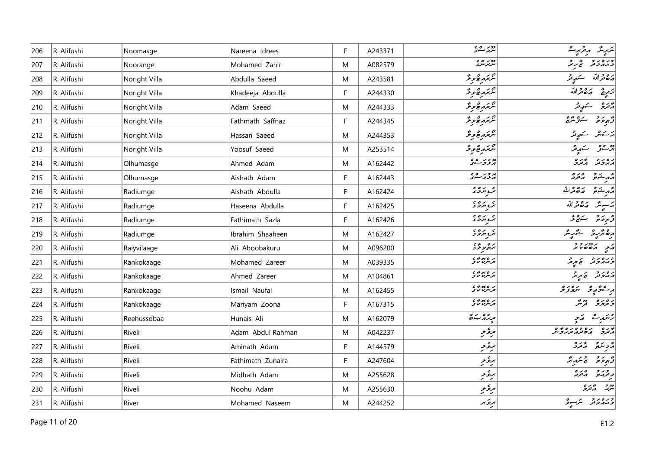| 206 | R. Alifushi | Noomasge      | Nareena Idrees    | F  | A243371 | ددر ه ،<br>مرد سو                     | سَرَسٍتَدَ وَفَرْسٍةٌ                   |
|-----|-------------|---------------|-------------------|----|---------|---------------------------------------|-----------------------------------------|
| 207 | R. Alifushi | Noorange      | Mohamed Zahir     | M  | A082579 | دد بر ه ،<br>سرپرسر                   | ورەرو پەرىر                             |
| 208 | R. Alifushi | Noright Villa | Abdulla Saeed     | M  | A243581 | مرتمه بحرقه                           | <mark>برة ق</mark> رالله<br>سکھرىتر     |
| 209 | R. Alifushi | Noright Villa | Khadeeja Abdulla  | F  | A244330 | ترىئە قحوقر                           | ترىرىتج<br>ئىسىم<br>وكافرالله           |
| 210 | R. Alifushi | Noright Villa | Adam Saeed        | M  | A244333 | ترىئەرغورگ                            | پەرە<br>مەنىرى<br>سە پەتىر              |
| 211 | R. Alifushi | Noright Villa | Fathmath Saffnaz  | F  | A244345 | ترىئە غوڅ                             | ۇ بەرە سەۋلىرى                          |
| 212 | R. Alifushi | Noright Villa | Hassan Saeed      | M  | A244353 | لترىئىر <u>ھ</u> و چ                  | برسە ئىر ئىر                            |
| 213 | R. Alifushi | Noright Villa | Yoosuf Saeed      | M  | A253514 | ترىئىر غورقم                          | دو وه د سته تر                          |
| 214 | R. Alifushi | Olhumasge     | Ahmed Adam        | M  | A162442 | بر و بر ره و<br>مرکز دستور            | ر ہ ر د پر ہ<br>גرچي گھر                |
| 215 | R. Alifushi | Olhumasge     | Aishath Adam      | F. | A162443 | پر ور رہ ۽<br>مرڪبور                  | و شهر و دره<br><i>م</i> گرشتو گرفر      |
| 216 | R. Alifushi | Radiumge      | Aishath Abdulla   | F  | A162424 | ړ ده ده<br>مرغ درو د                  | مُمشَمَّ مَصْمَّللَّه                   |
| 217 | R. Alifushi | Radiumge      | Haseena Abdulla   | F  | A162425 | ې ده ې<br>مرو ترو د                   | بَرْسِمْتُ صَدْرَةَ اللّهَ              |
| 218 | R. Alifushi | Radiumge      | Fathimath Sazla   | F  | A162426 | ړ ده ده<br>مرغ درو د                  | قرموخرم سنعمر                           |
| 219 | R. Alifushi | Radiumge      | Ibrahim Shaaheen  | M  | A162427 | ې ده په<br>مربورۍ                     | رە ئەرد<br>ے <i>گے بے ب</i> ھر          |
| 220 | R. Alifushi | Raiyvilaage   | Ali Aboobakuru    | M  | A096200 | ره<br>مر <sub>گ</sub> وعو څر          | 55/20/22                                |
| 221 | R. Alifushi | Rankokaage    | Mohamed Zareer    | M  | A039335 | ر ەيدىر<br>بىر سرىرىرى                | ورەرو پەيد                              |
| 222 | R. Alifushi | Rankokaage    | Ahmed Zareer      | M  | A104861 | ر ٥ پر دي<br>برس د د ک                | د د د د سي مړينه                        |
| 223 | R. Alifushi | Rankokaage    | Ismail Naufal     | M  | A162455 | ر ٥ پر <i>٤ ٥</i><br>برس <i>٧ ٧ ي</i> | وسنتصرف لتتعارفه                        |
| 224 | R. Alifushi | Rankokaage    | Mariyam Zoona     | F  | A167315 | ر ٥ پر <i>٤ ٥</i><br>بر سربر ر        | ر ہ رہ ہوتے<br>تر ہر پر فرنگر           |
| 225 | R. Alifushi | Reehussobaa   | Hunais Ali        | M  | A162079 | ابر جەھ بەيج<br>ئ <sup>ە</sup>        | رئىتىر شەھ كەنچە                        |
| 226 | R. Alifushi | Riveli        | Adam Abdul Rahman | M  | A042237 | برءٌ مِر                              | پره ره ده ده په و.<br>مهرچ می هم مرد مر |
| 227 | R. Alifushi | Riveli        | Aminath Adam      | F  | A144579 | برۂعر                                 | ړ ده په ده ده ده د                      |
| 228 | R. Alifushi | Riveli        | Fathimath Zunaira | F  | A247604 | برۂعر                                 | قهوجو للمتمر                            |
| 229 | R. Alifushi | Riveli        | Midhath Adam      | M  | A255628 | برۂعر                                 | تر تر ژم<br>  تر تر مو<br>ەرگەر         |
| 230 | R. Alifushi | Riveli        | Noohu Adam        | M  | A255630 | برة و                                 | میں شدہ                                 |
| 231 | R. Alifushi | River         | Mohamed Naseem    | M  | A244252 | مرحكر                                 | ورەر ئەسرو                              |
|     |             |               |                   |    |         |                                       |                                         |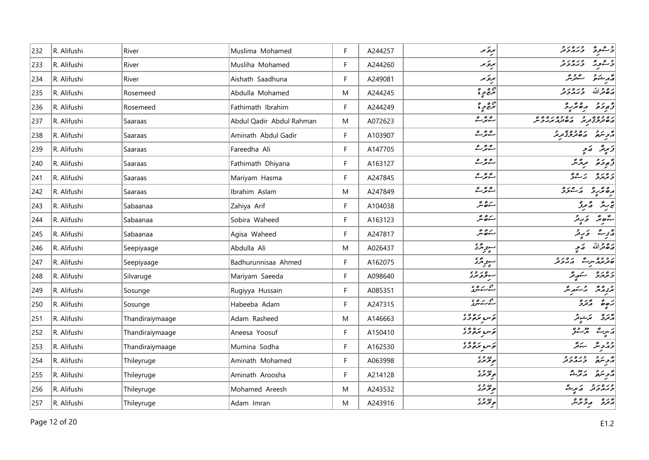| 232 | R. Alifushi | River           | Muslima Mohamed          | F. | A244257 | ىرەكىر                       | و رە ر د<br>تر پر تر تر<br>ۇ شوچۇ                                        |
|-----|-------------|-----------------|--------------------------|----|---------|------------------------------|--------------------------------------------------------------------------|
| 233 | R. Alifushi | River           | Musliha Mohamed          | F  | A244260 | ىرەكىر                       | و ر ه ر و<br><i>و پر</i> و تر<br><sub>د</sub> مشورتهٔ                    |
| 234 | R. Alifushi | River           | Aishath Saadhuna         | F. | A249081 | ابربرته                      | شۇ تەرتىر<br>پ <sup>و</sup> پر ڪچھ                                       |
| 235 | R. Alifushi | Rosemeed        | Abdulla Mohamed          | M  | A244245 | ە ھەم ھەم<br>مەنبى ھەم يە    | ەھىراللە<br>و ره ر د<br><i>د ب</i> رگرمر                                 |
| 236 | R. Alifushi | Rosemeed        | Fathimath Ibrahim        | F  | A244249 | ە ە<br>ئىرىنى جەنج           | برە ئۆر ۋ<br>وٌ جو رَ ح                                                  |
| 237 | R. Alifushi | Saaraas         | Abdul Qadir Abdul Rahman | M  | A072623 | ستمبرَّسه                    | ر ه وه په د د ر و وه ر ه په ه<br>پره ترڅنځ تر پر ه په ه تربر بر پر       |
| 238 | R. Alifushi | Saaraas         | Aminath Abdul Gadir      | F  | A103907 | سەئەر شە                     |                                                                          |
| 239 | R. Alifushi | Saaraas         | Fareedha Ali             | F  | A147705 | سەئەر ئە                     | وَ پرش کر پر                                                             |
| 240 | R. Alifushi | Saaraas         | Fathimath Dhiyana        | F. | A163127 | سە ئەر ئە                    | و ده مرمزمتر                                                             |
| 241 | R. Alifushi | Saaraas         | Mariyam Hasma            | F. | A247845 | سە ئەرمىس                    | ر ه ر ه<br><del>د</del> بربرگ<br>برُسْرَة                                |
| 242 | R. Alifushi | Saaraas         | Ibrahim Aslam            | Μ  | A247849 | شەئەر ھ                      | وەترىرى ئەسىرى                                                           |
| 243 | R. Alifushi | Sabaanaa        | Zahiya Arif              | F  | A104038 | ئەھ ئىر                      | يحرير أيسرو                                                              |
| 244 | R. Alifushi | Sabaanaa        | Sobira Waheed            | F. | A163123 | ئەڭ بىر                      | بەھەر كەر                                                                |
| 245 | R. Alifushi | Sabaanaa        | Agisa Waheed             | F  | A247817 | ئەڭ بىر                      | پر پر پر پر پر                                                           |
| 246 | R. Alifushi | Seepiyaage      | Abdulla Ali              | M  | A026437 | —وېر پر ئ                    | برة قرالله بريحي                                                         |
| 247 | R. Alifushi | Seepiyaage      | Badhurunnisaa Ahmed      | F  | A162075 | سه و دیگری<br>پروگری         | ם בניבח תיי היה ביב                                                      |
| 248 | R. Alifushi | Silvaruge       | Mariyam Saeeda           | F. | A098640 | ر وه ر و ،<br>سونژونور       | و مرد در د                                                               |
| 249 | R. Alifushi | Sosunge         | Rugiyya Hussain          | F  | A085351 | <u>مى ئەيتى ي</u>            | جروح برسكور                                                              |
| 250 | R. Alifushi | Sosunge         | Habeeba Adam             | F. | A247315 | <u>مى ئەيدى</u>              | $\begin{array}{c} \circ \\ \circ \\ \circ \end{array}$<br>پور ہ<br>مرتزو |
| 251 | R. Alifushi | Thandiraiymaage | Adam Rasheed             | M  | A146663 | ر<br>موسع بره و <sup>ی</sup> | پر ده<br>  مرکزی پر شوتر                                                 |
| 252 | R. Alifushi | Thandiraiymaage | Aneesa Yoosuf            | F  | A150410 | ە سرە ئەھ دى                 | ړ <sub>سو</sub> ر پو ده<br>لريپ                                          |
| 253 | R. Alifushi | Thandiraiymaage | Mumina Sodha             | F  | A162530 | ە سرىم بۇ                    | دو شه سکر                                                                |
| 254 | R. Alifushi | Thileyruge      | Aminath Mohamed          | F. | A063998 | ړ، و ،<br>حومز پر ي          | أثر شروع وبره درو                                                        |
| 255 | R. Alifushi | Thileyruge      | Aminath Aroosha          | F. | A214128 | ړ، و ،<br>مومونور            | أزويتهم أرددي                                                            |
| 256 | R. Alifushi | Thileyruge      | Mohamed Areesh           | M  | A243532 | ر، و ،<br>مومومرد            |                                                                          |
| 257 | R. Alifushi | Thileyruge      | Adam Imran               | M  | A243916 | ر، و ،<br>مومومرد            | دره مود شده<br>منتزی موس                                                 |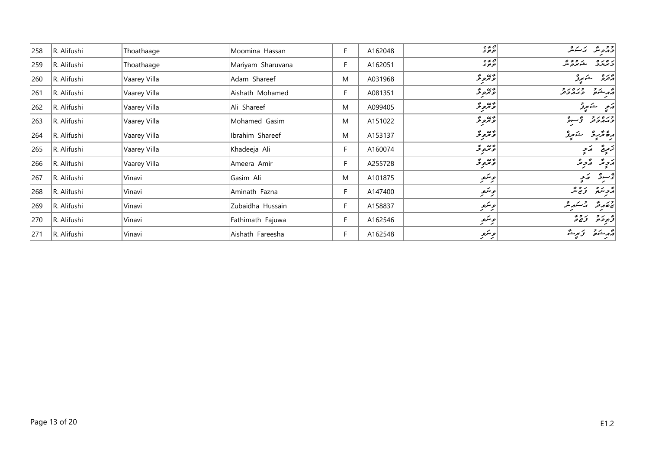| 258 | R. Alifushi | Thoathaage   | Moomina Hassan    | F. | A162048 | ج ء ج<br>  حو جو بر   | د در ش<br>برسەمىر                                  |
|-----|-------------|--------------|-------------------|----|---------|-----------------------|----------------------------------------------------|
| 259 | R. Alifushi | Thoathaage   | Mariyam Sharuvana | F. | A162051 | $c \neq c$<br>مح جو ي | ر ه ر ه<br><del>ر</del> بربرو<br>شە ئەرەڭ ئىر      |
| 260 | R. Alifushi | Vaarey Villa | Adam Shareef      | M  | A031968 | په په پخ              | پور ہ<br>پرکرو<br>ڪوبوگر                           |
| 261 | R. Alifushi | Vaarey Villa | Aishath Mohamed   | F. | A081351 | پي په پچ              | و ر ه ر د<br>تر پر ژ تر<br>پر ديگر ج<br>مرکز مشوحو |
| 262 | R. Alifushi | Vaarey Villa | Ali Shareef       | M  | A099405 | په په پخ              | ړکمو شکمونی                                        |
| 263 | R. Alifushi | Vaarey Villa | Mohamed Gasim     | M  | A151022 | ئەنئىرى ئىگە          | و ر ه ر د<br>تر پر ژ تر<br>تۇسىۋ                   |
| 264 | R. Alifushi | Vaarey Villa | Ibrahim Shareef   | M  | A153137 | په په پخ              | ەر ھەترىر <i>3</i><br>شەمرىر                       |
| 265 | R. Alifushi | Vaarey Villa | Khadeeja Ali      | F. | A160074 | ئەنئىرە ئى            | زَمِرِيَّ   دَمِرٍ                                 |
| 266 | R. Alifushi | Vaarey Villa | Ameera Amir       | F. | A255728 | دسمبر و تر            | پرېر پر دي                                         |
| 267 | R. Alifushi | Vinavi       | Gasim Ali         | M  | A101875 | ويترمر                | ائچ سبز <i>گر</i><br>ەتىر                          |
| 268 | R. Alifushi | Vinavi       | Aminath Fazna     | F. | A147400 | أحر متزجر             | ړ د سرچ<br>تر تنج متر                              |
| 269 | R. Alifushi | Vinavi       | Zubaidha Hussain  | F. | A158837 | أعربتنعر              | تى ھەر تېر سىكەر بىر                               |
| 270 | R. Alifushi | Vinavi       | Fathimath Fajuwa  | F. | A162546 | إقريتنغر              | ا ژه د د<br>تر 2 ش<br>تو ح ح                       |
| 271 | R. Alifushi | Vinavi       | Aishath Fareesha  | F. | A162548 | لعريترحر              | وكالداشكاهي وكالمرسك                               |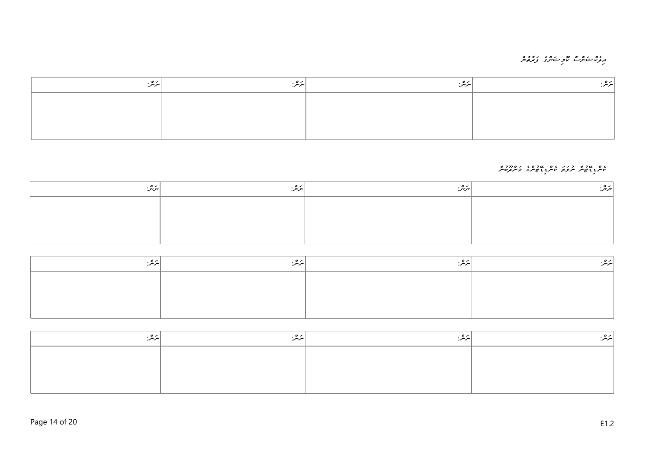## *w7qAn8m? sCw7mRo>u; wEw7mRw;sBo<*

| ' مرمر | 'يئرىثر: |
|--------|----------|
|        |          |
|        |          |
|        |          |

## *w7q9r@w7m> sCw7qHtFoFw7s; mAm=q7 w7qHtFoFw7s;*

| ىر تە | $\mathcal{O} \times$<br>$\sim$ | $\sim$<br>. . | لترنثر |
|-------|--------------------------------|---------------|--------|
|       |                                |               |        |
|       |                                |               |        |
|       |                                |               |        |

| يره | $^{\circ}$ | $\frac{2}{n}$ | $^{\circ}$<br>سرسر. |
|-----|------------|---------------|---------------------|
|     |            |               |                     |
|     |            |               |                     |
|     |            |               |                     |

| ىرتىر: | 。<br>سر سر | .,<br>مرسر |
|--------|------------|------------|
|        |            |            |
|        |            |            |
|        |            |            |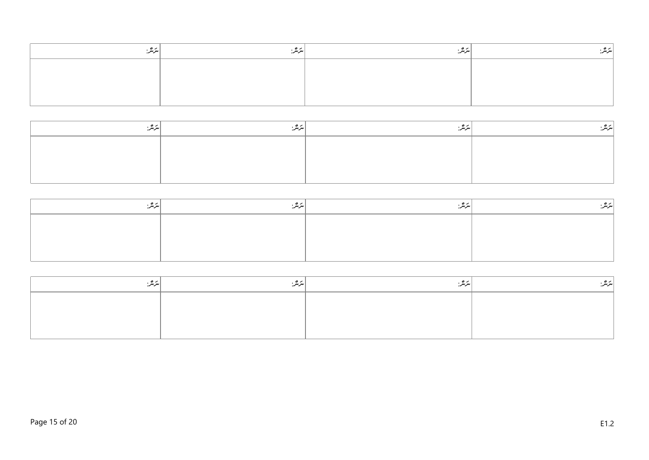| يزهر | $^{\circ}$ | ىئرىتر: |  |
|------|------------|---------|--|
|      |            |         |  |
|      |            |         |  |
|      |            |         |  |

| <sup>.</sup> سرسر. |  |
|--------------------|--|
|                    |  |
|                    |  |
|                    |  |

| ىئرىتر. | $\sim$ | ا بر هه. | لىرىش |
|---------|--------|----------|-------|
|         |        |          |       |
|         |        |          |       |
|         |        |          |       |

| 。<br>مرس. | $\overline{\phantom{a}}$<br>مر مىر | يتريثر |
|-----------|------------------------------------|--------|
|           |                                    |        |
|           |                                    |        |
|           |                                    |        |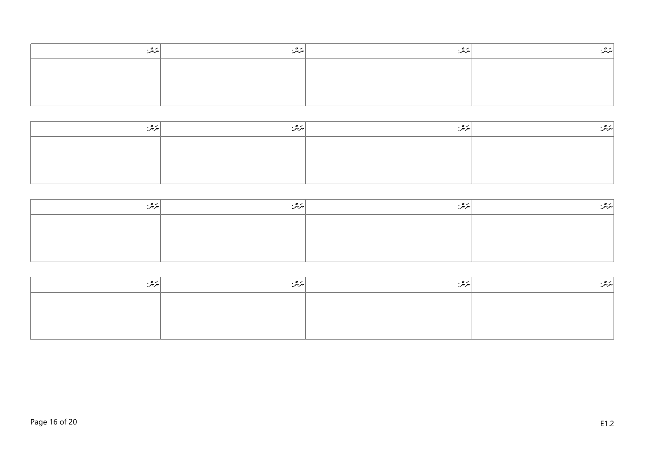| ير هو . | $\overline{\phantom{a}}$ | يرمر | اير هنه. |
|---------|--------------------------|------|----------|
|         |                          |      |          |
|         |                          |      |          |
|         |                          |      |          |

| ىر تىر: | $\circ$ $\sim$<br>" سرسر . | يبرحه | o . |
|---------|----------------------------|-------|-----|
|         |                            |       |     |
|         |                            |       |     |
|         |                            |       |     |

| 'تترنثر: | 。<br>,,,, |  |
|----------|-----------|--|
|          |           |  |
|          |           |  |
|          |           |  |

|  | . ه |
|--|-----|
|  |     |
|  |     |
|  |     |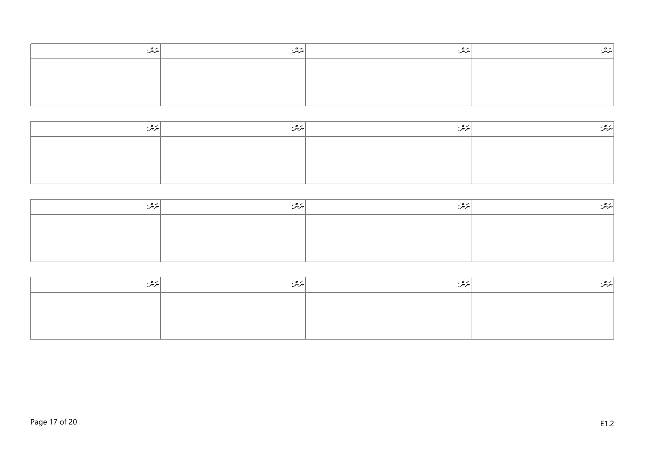| ير هو . | $\overline{\phantom{a}}$ | يرمر | اير هنه. |
|---------|--------------------------|------|----------|
|         |                          |      |          |
|         |                          |      |          |
|         |                          |      |          |

| ىر ھ | $\circ$ $\sim$<br>ا سرسر. | $\circ$ $\sim$<br>' سرسر . | o <i>~</i><br>سرسر. |
|------|---------------------------|----------------------------|---------------------|
|      |                           |                            |                     |
|      |                           |                            |                     |
|      |                           |                            |                     |

| 'تترنثر: | 。<br>,,,, |  |
|----------|-----------|--|
|          |           |  |
|          |           |  |
|          |           |  |

|  | . ه |
|--|-----|
|  |     |
|  |     |
|  |     |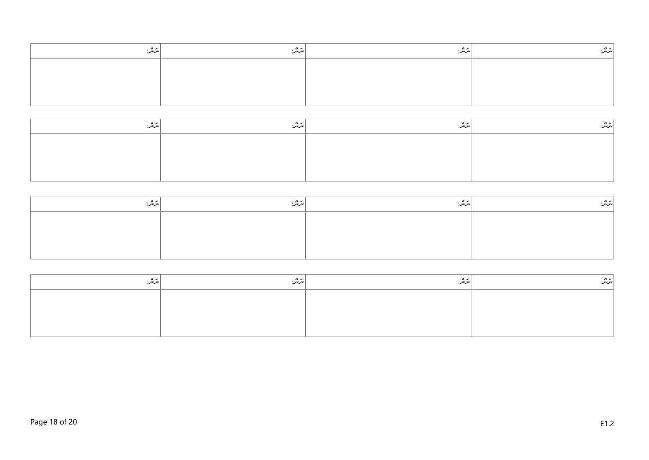| $\cdot$ | 。 | $\frac{\circ}{\cdot}$ | $\sim$<br>سرسر |
|---------|---|-----------------------|----------------|
|         |   |                       |                |
|         |   |                       |                |
|         |   |                       |                |

| ايرعر: | ر ه<br>. . |  |
|--------|------------|--|
|        |            |  |
|        |            |  |
|        |            |  |

| بر ه | . ه | $\sim$<br>سرسر |  |
|------|-----|----------------|--|
|      |     |                |  |
|      |     |                |  |
|      |     |                |  |

| 。<br>. س | ىرىىر |  |
|----------|-------|--|
|          |       |  |
|          |       |  |
|          |       |  |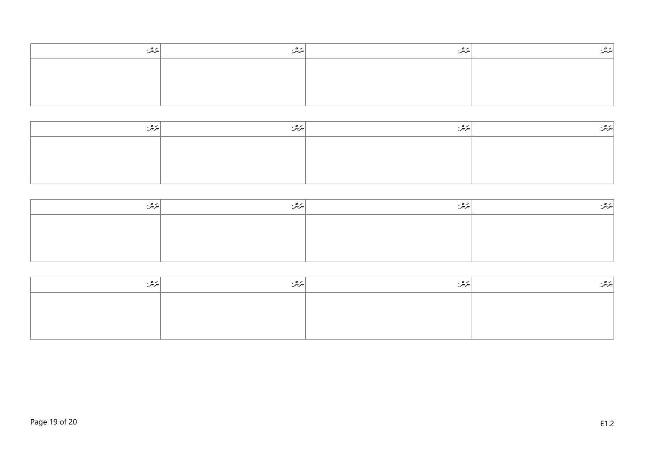| ير هو . | $\overline{\phantom{a}}$ | يرمر | اير هنه. |
|---------|--------------------------|------|----------|
|         |                          |      |          |
|         |                          |      |          |
|         |                          |      |          |

| ئىرتىر: | $\sim$<br>ا سرسر . | يئرمثر | o . |
|---------|--------------------|--------|-----|
|         |                    |        |     |
|         |                    |        |     |
|         |                    |        |     |

| انترنثر: | ر ه |  |
|----------|-----|--|
|          |     |  |
|          |     |  |
|          |     |  |

|  | . ه |
|--|-----|
|  |     |
|  |     |
|  |     |